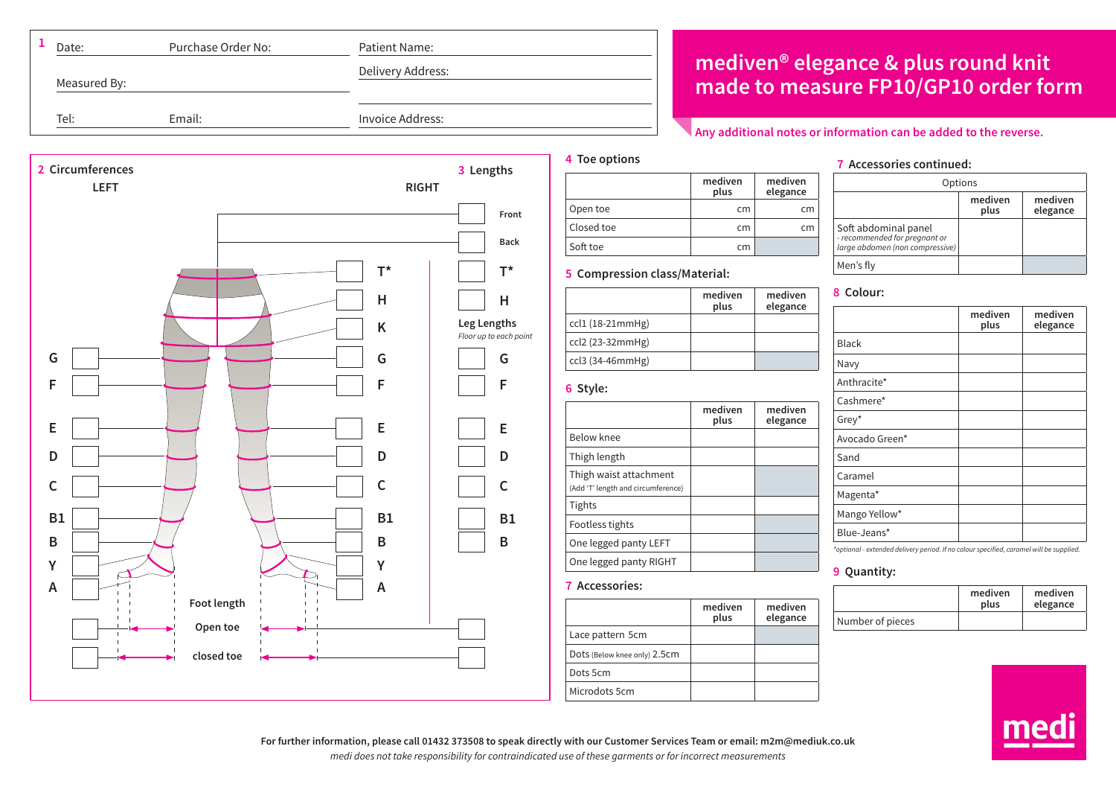| Date:        | Purchase Order No: | Patient Name:     |            |
|--------------|--------------------|-------------------|------------|
| Measured By: |                    | Delivery Address: | med<br>mad |
| Tel:         | Email:             | Invoice Address:  |            |
|              |                    |                   |            |

# **mediven® elegance & plus round knit made to measure FP10/GP10 order form**

## **Any additional notes or information can be added to the reverse.**



### **mediven plus mediven elegance** Open toe cm cm Closed toe cm cm Soft toe cm

# **5 Compression class/Material:**

|                    | mediven<br>plus | mediven<br>elegance |
|--------------------|-----------------|---------------------|
| $ccl1$ (18-21mmHg) |                 |                     |
| ccl2 (23-32mmHg)   |                 |                     |
| ccl3 (34-46mmHg)   |                 |                     |

**6 Style:**

**7 Accessories:**

Lace pattern 5cm Dots (Below knee only) 2.5cm

Dots 5cm Microdots 5cm

**4 Toe options**

| .                                                            |                 |                     |
|--------------------------------------------------------------|-----------------|---------------------|
|                                                              | mediven<br>plus | mediven<br>elegance |
| Below knee                                                   |                 |                     |
| Thigh length                                                 |                 |                     |
| Thigh waist attachment<br>(Add 'T' length and circumference) |                 |                     |
| Tights                                                       |                 |                     |
| Footless tights                                              |                 |                     |
| One legged panty LEFT                                        |                 |                     |
| One legged panty RIGHT                                       |                 |                     |

**mediven plus**

**mediven elegance**

**7 Accessories continued:**

| Options                                                                                  |                 |                     |
|------------------------------------------------------------------------------------------|-----------------|---------------------|
|                                                                                          | mediven<br>plus | mediven<br>elegance |
| Soft abdominal panel<br>- recommended for pregnant or<br>large abdomen (non compressive) |                 |                     |
| Men's fly                                                                                |                 |                     |

# **8 Colour: mediven plus mediven elegance** Black Navy Anthracite\* Cashmere\* Grey\* Avocado Green\* Sand Caramel Magenta\* Mango Yellow\* Blue-Jeans\*

*\*optional - extended delivery period. If no colour specified, caramel will be supplied.*

# **9 Quantity:**

|                  | mediven<br>plus | mediven<br>elegance |
|------------------|-----------------|---------------------|
| Number of pieces |                 |                     |



**For further information, please call 01432 373508 to speak directly with our Customer Services Team or email: m2m@mediuk.co.uk** *medi does not take responsibility for contraindicated use of these garments or for incorrect measurements*